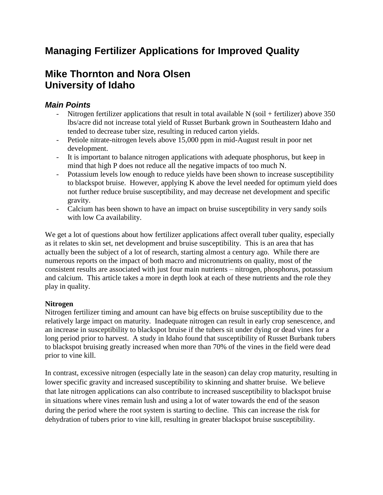# **Managing Fertilizer Applications for Improved Quality**

## **Mike Thornton and Nora Olsen University of Idaho**

## *Main Points*

- Nitrogen fertilizer applications that result in total available  $N$  (soil + fertilizer) above 350 lbs/acre did not increase total yield of Russet Burbank grown in Southeastern Idaho and tended to decrease tuber size, resulting in reduced carton yields.
- Petiole nitrate-nitrogen levels above 15,000 ppm in mid-August result in poor net development.
- It is important to balance nitrogen applications with adequate phosphorus, but keep in mind that high P does not reduce all the negative impacts of too much N.
- Potassium levels low enough to reduce yields have been shown to increase susceptibility to blackspot bruise. However, applying K above the level needed for optimum yield does not further reduce bruise susceptibility, and may decrease net development and specific gravity.
- Calcium has been shown to have an impact on bruise susceptibility in very sandy soils with low Ca availability.

We get a lot of questions about how fertilizer applications affect overall tuber quality, especially as it relates to skin set, net development and bruise susceptibility. This is an area that has actually been the subject of a lot of research, starting almost a century ago. While there are numerous reports on the impact of both macro and micronutrients on quality, most of the consistent results are associated with just four main nutrients – nitrogen, phosphorus, potassium and calcium. This article takes a more in depth look at each of these nutrients and the role they play in quality.

### **Nitrogen**

Nitrogen fertilizer timing and amount can have big effects on bruise susceptibility due to the relatively large impact on maturity. Inadequate nitrogen can result in early crop senescence, and an increase in susceptibility to blackspot bruise if the tubers sit under dying or dead vines for a long period prior to harvest. A study in Idaho found that susceptibility of Russet Burbank tubers to blackspot bruising greatly increased when more than 70% of the vines in the field were dead prior to vine kill.

In contrast, excessive nitrogen (especially late in the season) can delay crop maturity, resulting in lower specific gravity and increased susceptibility to skinning and shatter bruise. We believe that late nitrogen applications can also contribute to increased susceptibility to blackspot bruise in situations where vines remain lush and using a lot of water towards the end of the season during the period where the root system is starting to decline. This can increase the risk for dehydration of tubers prior to vine kill, resulting in greater blackspot bruise susceptibility.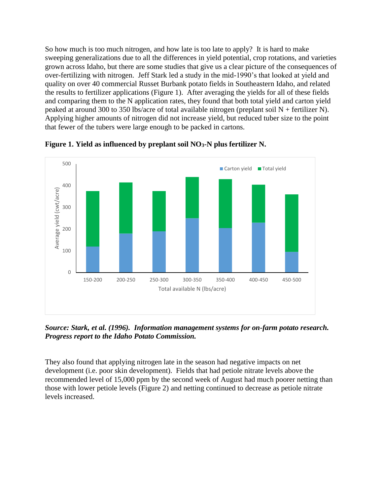So how much is too much nitrogen, and how late is too late to apply? It is hard to make sweeping generalizations due to all the differences in yield potential, crop rotations, and varieties grown across Idaho, but there are some studies that give us a clear picture of the consequences of over-fertilizing with nitrogen. Jeff Stark led a study in the mid-1990's that looked at yield and quality on over 40 commercial Russet Burbank potato fields in Southeastern Idaho, and related the results to fertilizer applications (Figure 1). After averaging the yields for all of these fields and comparing them to the N application rates, they found that both total yield and carton yield peaked at around 300 to 350 lbs/acre of total available nitrogen (preplant soil N + fertilizer N). Applying higher amounts of nitrogen did not increase yield, but reduced tuber size to the point that fewer of the tubers were large enough to be packed in cartons.



**Figure 1. Yield as influenced by preplant soil NO3-N plus fertilizer N.**

*Source: Stark, et al. (1996). Information management systems for on-farm potato research. Progress report to the Idaho Potato Commission.*

They also found that applying nitrogen late in the season had negative impacts on net development (i.e. poor skin development). Fields that had petiole nitrate levels above the recommended level of 15,000 ppm by the second week of August had much poorer netting than those with lower petiole levels (Figure 2) and netting continued to decrease as petiole nitrate levels increased.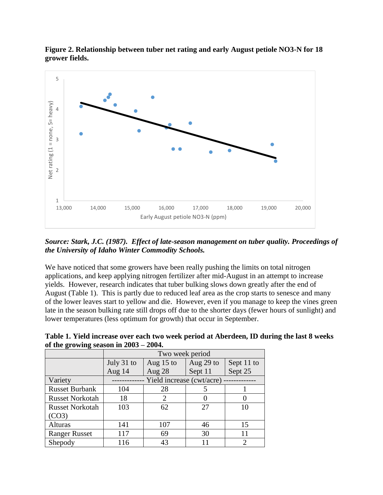

**Figure 2. Relationship between tuber net rating and early August petiole NO3-N for 18 grower fields.**

*Source: Stark, J.C. (1987). Effect of late-season management on tuber quality. Proceedings of the University of Idaho Winter Commodity Schools.*

We have noticed that some growers have been really pushing the limits on total nitrogen applications, and keep applying nitrogen fertilizer after mid-August in an attempt to increase yields. However, research indicates that tuber bulking slows down greatly after the end of August (Table 1). This is partly due to reduced leaf area as the crop starts to senesce and many of the lower leaves start to yellow and die. However, even if you manage to keep the vines green late in the season bulking rate still drops off due to the shorter days (fewer hours of sunlight) and lower temperatures (less optimum for growth) that occur in September.

| of the growing season in $2003 - 2004$ . |                           |                |           |                   |
|------------------------------------------|---------------------------|----------------|-----------|-------------------|
|                                          | Two week period           |                |           |                   |
|                                          | July 31 to                | Aug $15$ to    | Aug 29 to | Sept 11 to        |
|                                          | Aug $14$                  | Aug $28$       | Sept 11   | Sept 25           |
| Variety                                  | Yield increase (cwt/acre) |                |           |                   |
| <b>Russet Burbank</b>                    | 104                       | 28             |           |                   |
| <b>Russet Norkotah</b>                   | 18                        | $\overline{2}$ | 0         | $\mathbf{\Omega}$ |
| <b>Russet Norkotah</b>                   | 103                       | 62             | 27        | 10                |
| (CO3)                                    |                           |                |           |                   |
| <b>Alturas</b>                           | 141                       | 107            | 46        | 15                |
| <b>Ranger Russet</b>                     | 117                       | 69             | 30        | 11                |
| Shepody                                  | 116                       | 43             |           | 2                 |

**Table 1. Yield increase over each two week period at Aberdeen, ID during the last 8 weeks of the growing season in 2003 – 2004.**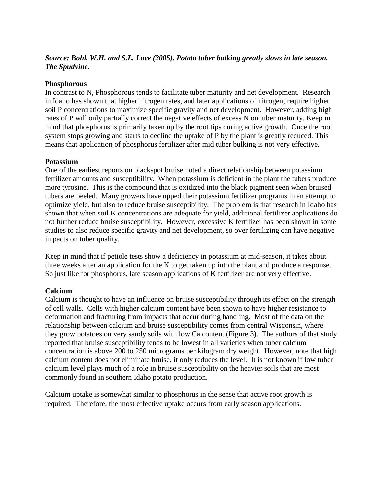#### *Source: Bohl, W.H. and S.L. Love (2005). Potato tuber bulking greatly slows in late season. The Spudvine.*

#### **Phosphorous**

In contrast to N, Phosphorous tends to facilitate tuber maturity and net development. Research in Idaho has shown that higher nitrogen rates, and later applications of nitrogen, require higher soil P concentrations to maximize specific gravity and net development. However, adding high rates of P will only partially correct the negative effects of excess N on tuber maturity. Keep in mind that phosphorus is primarily taken up by the root tips during active growth. Once the root system stops growing and starts to decline the uptake of P by the plant is greatly reduced. This means that application of phosphorus fertilizer after mid tuber bulking is not very effective.

#### **Potassium**

One of the earliest reports on blackspot bruise noted a direct relationship between potassium fertilizer amounts and susceptibility. When potassium is deficient in the plant the tubers produce more tyrosine. This is the compound that is oxidized into the black pigment seen when bruised tubers are peeled. Many growers have upped their potassium fertilizer programs in an attempt to optimize yield, but also to reduce bruise susceptibility. The problem is that research in Idaho has shown that when soil K concentrations are adequate for yield, additional fertilizer applications do not further reduce bruise susceptibility. However, excessive K fertilizer has been shown in some studies to also reduce specific gravity and net development, so over fertilizing can have negative impacts on tuber quality.

Keep in mind that if petiole tests show a deficiency in potassium at mid-season, it takes about three weeks after an application for the K to get taken up into the plant and produce a response. So just like for phosphorus, late season applications of K fertilizer are not very effective.

#### **Calcium**

Calcium is thought to have an influence on bruise susceptibility through its effect on the strength of cell walls. Cells with higher calcium content have been shown to have higher resistance to deformation and fracturing from impacts that occur during handling. Most of the data on the relationship between calcium and bruise susceptibility comes from central Wisconsin, where they grow potatoes on very sandy soils with low Ca content (Figure 3). The authors of that study reported that bruise susceptibility tends to be lowest in all varieties when tuber calcium concentration is above 200 to 250 micrograms per kilogram dry weight. However, note that high calcium content does not eliminate bruise, it only reduces the level. It is not known if low tuber calcium level plays much of a role in bruise susceptibility on the heavier soils that are most commonly found in southern Idaho potato production.

Calcium uptake is somewhat similar to phosphorus in the sense that active root growth is required. Therefore, the most effective uptake occurs from early season applications.